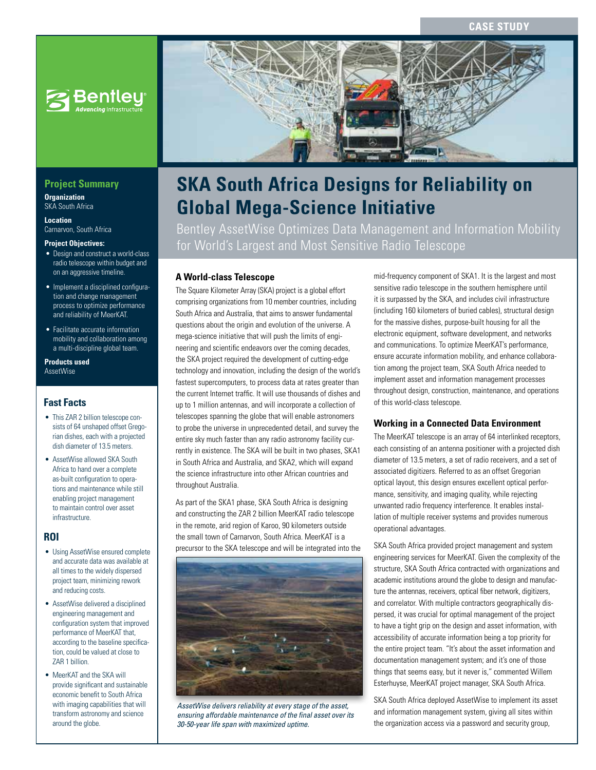

## **Project Summary**

**Organization** SKA South Africa

**Location** Carnarvon, South Africa

#### **Project Objectives:**

- Design and construct a world-class radio telescope within budget and on an aggressive timeline.
- Implement a disciplined configuration and change management process to optimize performance and reliability of MeerKAT.
- Facilitate accurate information mobility and collaboration among a multi-discipline global team.

#### **Products used** AssetWise

## **Fast Facts**

- This ZAR 2 billion telescope consists of 64 unshaped offset Gregorian dishes, each with a projected dish diameter of 13.5 meters.
- AssetWise allowed SKA South Africa to hand over a complete as-built configuration to operations and maintenance while still enabling project management to maintain control over asset infrastructure.

#### **ROI**

- Using AssetWise ensured complete and accurate data was available at all times to the widely dispersed project team, minimizing rework and reducing costs.
- AssetWise delivered a disciplined engineering management and configuration system that improved performance of MeerKAT that, according to the baseline specification, could be valued at close to ZAR 1 billion.
- MeerKAT and the SKA will provide significant and sustainable economic benefit to South Africa with imaging capabilities that will transform astronomy and science around the globe.



# **SKA South Africa Designs for Reliability on Global Mega-Science Initiative**

Bentley AssetWise Optimizes Data Management and Information Mobility for World's Largest and Most Sensitive Radio Telescope

### **A World-class Telescope**

The Square Kilometer Array (SKA) project is a global effort comprising organizations from 10 member countries, including South Africa and Australia, that aims to answer fundamental questions about the origin and evolution of the universe. A mega-science initiative that will push the limits of engineering and scientific endeavors over the coming decades, the SKA project required the development of cutting-edge technology and innovation, including the design of the world's fastest supercomputers, to process data at rates greater than the current Internet traffic. It will use thousands of dishes and up to 1 million antennas, and will incorporate a collection of telescopes spanning the globe that will enable astronomers to probe the universe in unprecedented detail, and survey the entire sky much faster than any radio astronomy facility currently in existence. The SKA will be built in two phases, SKA1 in South Africa and Australia, and SKA2, which will expand the science infrastructure into other African countries and throughout Australia.

As part of the SKA1 phase, SKA South Africa is designing and constructing the ZAR 2 billion MeerKAT radio telescope in the remote, arid region of Karoo, 90 kilometers outside the small town of Carnarvon, South Africa. MeerKAT is a precursor to the SKA telescope and will be integrated into the



*AssetWise delivers reliability at every stage of the asset, ensuring affordable maintenance of the final asset over its 30-50-year life span with maximized uptime.* 

mid-frequency component of SKA1. It is the largest and most sensitive radio telescope in the southern hemisphere until it is surpassed by the SKA, and includes civil infrastructure (including 160 kilometers of buried cables), structural design for the massive dishes, purpose-built housing for all the electronic equipment, software development, and networks and communications. To optimize MeerKAT's performance, ensure accurate information mobility, and enhance collaboration among the project team, SKA South Africa needed to implement asset and information management processes throughout design, construction, maintenance, and operations of this world-class telescope.

#### **Working in a Connected Data Environment**

The MeerKAT telescope is an array of 64 interlinked receptors, each consisting of an antenna positioner with a projected dish diameter of 13.5 meters, a set of radio receivers, and a set of associated digitizers. Referred to as an offset Gregorian optical layout, this design ensures excellent optical performance, sensitivity, and imaging quality, while rejecting unwanted radio frequency interference. It enables installation of multiple receiver systems and provides numerous operational advantages.

SKA South Africa provided project management and system engineering services for MeerKAT. Given the complexity of the structure, SKA South Africa contracted with organizations and academic institutions around the globe to design and manufacture the antennas, receivers, optical fiber network, digitizers, and correlator. With multiple contractors geographically dispersed, it was crucial for optimal management of the project to have a tight grip on the design and asset information, with accessibility of accurate information being a top priority for the entire project team. "It's about the asset information and documentation management system; and it's one of those things that seems easy, but it never is," commented Willem Esterhuyse, MeerKAT project manager, SKA South Africa.

SKA South Africa deployed AssetWise to implement its asset and information management system, giving all sites within the organization access via a password and security group,